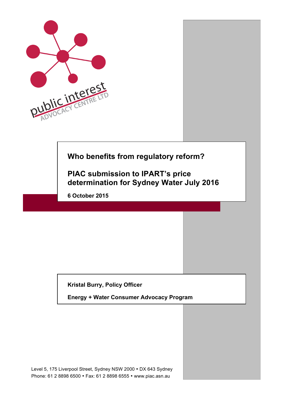

# **Who benefits from regulatory reform?**

**PIAC submission to IPART's price determination for Sydney Water July 2016**

**6 October 2015**

**Kristal Burry, Policy Officer** 

**Energy + Water Consumer Advocacy Program**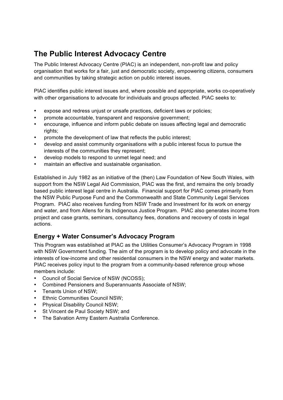# **The Public Interest Advocacy Centre**

The Public Interest Advocacy Centre (PIAC) is an independent, non-profit law and policy organisation that works for a fair, just and democratic society, empowering citizens, consumers and communities by taking strategic action on public interest issues.

PIAC identifies public interest issues and, where possible and appropriate, works co-operatively with other organisations to advocate for individuals and groups affected. PIAC seeks to:

- expose and redress unjust or unsafe practices, deficient laws or policies;
- promote accountable, transparent and responsive government;
- encourage, influence and inform public debate on issues affecting legal and democratic rights;
- promote the development of law that reflects the public interest;
- develop and assist community organisations with a public interest focus to pursue the interests of the communities they represent;
- develop models to respond to unmet legal need; and
- maintain an effective and sustainable organisation.

Established in July 1982 as an initiative of the (then) Law Foundation of New South Wales, with support from the NSW Legal Aid Commission, PIAC was the first, and remains the only broadly based public interest legal centre in Australia. Financial support for PIAC comes primarily from the NSW Public Purpose Fund and the Commonwealth and State Community Legal Services Program. PIAC also receives funding from NSW Trade and Investment for its work on energy and water, and from Allens for its Indigenous Justice Program. PIAC also generates income from project and case grants, seminars, consultancy fees, donations and recovery of costs in legal actions.

## **Energy + Water Consumer's Advocacy Program**

This Program was established at PIAC as the Utilities Consumer's Advocacy Program in 1998 with NSW Government funding. The aim of the program is to develop policy and advocate in the interests of low-income and other residential consumers in the NSW energy and water markets. PIAC receives policy input to the program from a community-based reference group whose members include:

- Council of Social Service of NSW (NCOSS);
- Combined Pensioners and Superannuants Associate of NSW;
- Tenants Union of NSW;
- Ethnic Communities Council NSW;
- Physical Disability Council NSW;
- St Vincent de Paul Society NSW; and
- The Salvation Army Eastern Australia Conference.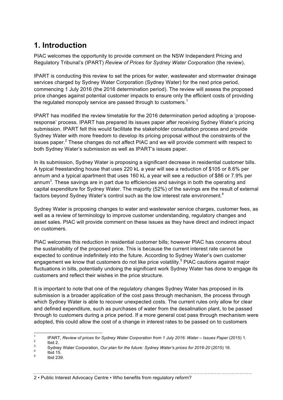# **1. Introduction**

PIAC welcomes the opportunity to provide comment on the NSW Independent Pricing and Regulatory Tribunal's (IPART) *Review of Prices for Sydney Water Corporation* (the review).

IPART is conducting this review to set the prices for water, wastewater and stormwater drainage services charged by Sydney Water Corporation (Sydney Water) for the next price period, commencing 1 July 2016 (the 2016 determination period). The review will assess the proposed price changes against potential customer impacts to ensure only the efficient costs of providing the regulated monopoly service are passed through to customers.<sup>1</sup>

IPART has modified the review timetable for the 2016 determination period adopting a 'proposeresponse' process. IPART has prepared its issues paper after receiving Sydney Water's pricing submission. IPART felt this would facilitate the stakeholder consultation process and provide Sydney Water with more freedom to develop its pricing proposal without the constraints of the issues paper. $<sup>2</sup>$  These changes do not affect PIAC and we will provide comment with respect to</sup> both Sydney Water's submission as well as IPART's issues paper.

In its submission, Sydney Water is proposing a significant decrease in residential customer bills. A typical freestanding house that uses 220 kL a year will see a reduction of \$105 or 8.6% per annum and a typical apartment that uses 160 kL a year will see a reduction of \$86 or 7.9% per annum<sup>3</sup>. These savings are in part due to efficiencies and savings in both the operating and capital expenditure for Sydney Water. The majority (52%) of the savings are the result of external factors beyond Sydney Water's control such as the low interest rate environment.<sup>4</sup>

Sydney Water is proposing changes to water and wastewater service charges, customer fees, as well as a review of terminology to improve customer understanding, regulatory changes and asset sales. PIAC will provide comment on these issues as they have direct and indirect impact on customers.

PIAC welcomes this reduction in residential customer bills; however PIAC has concerns about the sustainability of the proposed price. This is because the current interest rate cannot be expected to continue indefinitely into the future. According to Sydney Water's own customer engagement we know that customers do not like price volatility.<sup>5</sup> PIAC cautions against major fluctuations in bills, potentially undoing the significant work Sydney Water has done to engage its customers and reflect their wishes in the price structure.

It is important to note that one of the regulatory changes Sydney Water has proposed in its submission is a broader application of the cost pass through mechanism, the process through which Sydney Water is able to recover unexpected costs. The current rules only allow for clear and defined expenditure, such as purchases of water from the desalination plant, to be passed through to customers during a price period. If a more general cost pass through mechanism were adopted, this could allow the cost of a change in interest rates to be passed on to customers

<sup>1</sup> IPART, Review of prices for Sydney Water Corporation from 1 July 2016: Water – Issues Paper (2015) 1.<br>
2 Ibid 2.<br>
Sydney Water Corporation, Our plan for the future: Sydney Water's prices for 2016-20 (2015) 16.<br>
1 Ibid 1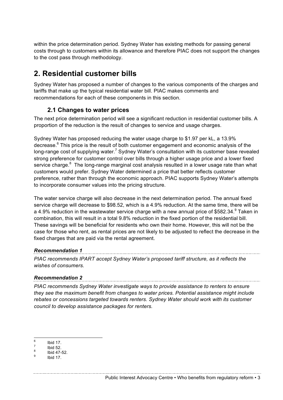within the price determination period. Sydney Water has existing methods for passing general costs through to customers within its allowance and therefore PIAC does not support the changes to the cost pass through methodology.

# **2. Residential customer bills**

Sydney Water has proposed a number of changes to the various components of the charges and tariffs that make up the typical residential water bill. PIAC makes comments and recommendations for each of these components in this section.

## **2.1 Changes to water prices**

The next price determination period will see a significant reduction in residential customer bills. A proportion of the reduction is the result of changes to service and usage charges.

Sydney Water has proposed reducing the water usage charge to \$1.97 per kL, a 13.9% decrease.<sup>6</sup> This price is the result of both customer engagement and economic analysis of the long-range cost of supplying water.<sup>7</sup> Sydney Water's consultation with its customer base revealed strong preference for customer control over bills through a higher usage price and a lower fixed service charge.<sup>8</sup> The long-range marginal cost analysis resulted in a lower usage rate than what customers would prefer. Sydney Water determined a price that better reflects customer preference, rather than through the economic approach. PIAC supports Sydney Water's attempts to incorporate consumer values into the pricing structure.

The water service charge will also decrease in the next determination period. The annual fixed service charge will decrease to \$98.52, which is a 4.9% reduction. At the same time, there will be a 4.9% reduction in the wastewater service charge with a new annual price of \$582.34. $9$  Taken in combination, this will result in a total 9.8% reduction in the fixed portion of the residential bill. These savings will be beneficial for residents who own their home. However, this will not be the case for those who rent, as rental prices are not likely to be adjusted to reflect the decrease in the fixed charges that are paid via the rental agreement.

### *Recommendation 1*

*PIAC recommends IPART accept Sydney Water's proposed tariff structure, as it reflects the wishes of consumers.*

### *Recommendation 2*

*PIAC recommends Sydney Water investigate ways to provide assistance to renters to ensure they see the maximum benefit from changes to water prices. Potential assistance might include rebates or concessions targeted towards renters. Sydney Water should work with its customer council to develop assistance packages for renters.* 

<sup>6</sup> Ibid 17. <sup>7</sup> Ibid 52. <sup>8</sup> Ibid 47-52. <sup>9</sup> Ibid 17.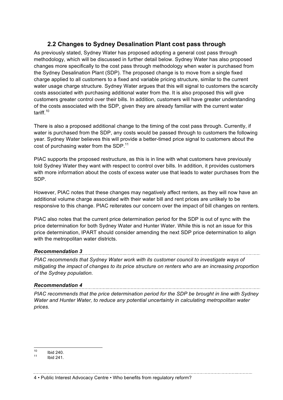## **2.2 Changes to Sydney Desalination Plant cost pass through**

As previously stated, Sydney Water has proposed adopting a general cost pass through methodology, which will be discussed in further detail below. Sydney Water has also proposed changes more specifically to the cost pass through methodology when water is purchased from the Sydney Desalination Plant (SDP). The proposed change is to move from a single fixed charge applied to all customers to a fixed and variable pricing structure, similar to the current water usage charge structure. Sydney Water argues that this will signal to customers the scarcity costs associated with purchasing additional water from the. It is also proposed this will give customers greater control over their bills. In addition, customers will have greater understanding of the costs associated with the SDP, given they are already familiar with the current water tariff.<sup>10</sup>

There is also a proposed additional change to the timing of the cost pass through. Currently, if water is purchased from the SDP, any costs would be passed through to customers the following year. Sydney Water believes this will provide a better-timed price signal to customers about the cost of purchasing water from the SDP.<sup>11</sup>

PIAC supports the proposed restructure, as this is in line with what customers have previously told Sydney Water they want with respect to control over bills. In addition, it provides customers with more information about the costs of excess water use that leads to water purchases from the SDP.

However, PIAC notes that these changes may negatively affect renters, as they will now have an additional volume charge associated with their water bill and rent prices are unlikely to be responsive to this change. PIAC reiterates our concern over the impact of bill changes on renters.

PIAC also notes that the current price determination period for the SDP is out of sync with the price determination for both Sydney Water and Hunter Water. While this is not an issue for this price determination, IPART should consider amending the next SDP price determination to align with the metropolitan water districts.

#### *Recommendation 3*

*PIAC recommends that Sydney Water work with its customer council to investigate ways of mitigating the impact of changes to its price structure on renters who are an increasing proportion of the Sydney population.*

### *Recommendation 4*

*PIAC recommends that the price determination period for the SDP be brought in line with Sydney Water and Hunter Water, to reduce any potential uncertainty in calculating metropolitan water prices.*

 $\frac{10}{11}$  Ibid 240.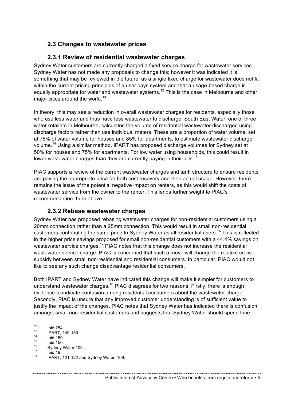## **2.3 Changes to wastewater prices**

## **2.3.1 Review of residential wastewater charges**

Sydney Water customers are currently charged a fixed service charge for wastewater services. Sydney Water has not made any proposals to change this; however it was indicated it is something that may be reviewed in the future, as a single fixed charge for wastewater does not fit within the current pricing principles of a user pays system and that a usage-based charge is equally appropriate for water and wastewater systems.<sup>12</sup> This is the case in Melbourne and other major cities around the world. $13$ 

In theory, this may see a reduction in overall wastewater charges for residents, especially those who use less water and thus have less wastewater to discharge. South East Water, one of three water retailers in Melbourne, calculates the volume of residential wastewater discharged using discharge factors rather then use individual meters. These are a proportion of water volume, set at 75% of water volume for houses and 85% for apartments, to estimate wastewater discharge volume.<sup>14</sup> Using a similar method, IPART has proposed discharge volumes for Sydney set at 50% for houses and 75% for apartments. For low water using households, this could result in lower wastewater charges than they are currently paying in their bills.<sup>15</sup>

PIAC supports a review of the current wastewater charges and tariff structure to ensure residents are paying the appropriate price for both cost recovery and their actual usage. However, there remains the issue of the potential negative impact on renters, as this would shift the costs of wastewater service from the owner to the renter. This lends further weight to PIAC's recommendation three above.

## **2.3.2 Rebase wastewater charges**

Sydney Water has proposed rebasing wastewater charges for non-residential customers using a 20mm connection rather than a 25mm connection. This would result in small non-residential customers contributing the same price to Sydney Water as all residential users.<sup>16</sup> This is reflected in the higher price savings proposed for small non-residential customers with a 44.4% savings on wastewater service charges.<sup>17</sup> PIAC notes that this change does not increase the residential wastewater service charge. PIAC is concerned that such a move will change the relative crosssubsidy between small non-residential and residential consumers. In particular, PIAC would not like to see any such change disadvantage residential consumers.

Both IPART and Sydney Water have indicated this change will make it simpler for customers to understand wastewater charges.<sup>18</sup> PIAC disagrees for two reasons. Firstly, there is enough evidence to indicate confusion among residential consumers about the wastewater charge. Secondly, PIAC is unsure that any improved customer understanding is of sufficient value to justify the impact of the changes. PIAC notes that Sydney Water has indicated there is confusion amongst small non-residential customers and suggests that Sydney Water should spend time

Public Interest Advocacy Centre • Who benefits from regulatory reform • 5

<sup>12</sup> Ibid 254.<br>
13 IPART, 149-150.<br>
15 Ibid 150.<br>
16 Sydney Water, 109.<br>
17 Ibid 19.<br>
18 IPART, 121-122 and Sydney Water, 109.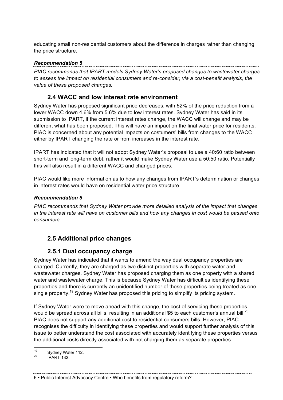educating small non-residential customers about the difference in charges rather than changing the price structure.

#### *Recommendation 5*

*PIAC recommends that IPART models Sydney Water's proposed changes to wastewater charges to assess the impact on residential consumers and re-consider, via a cost-benefit analysis, the value of these proposed changes.*

## **2.4 WACC and low interest rate environment**

Sydney Water has proposed significant price decreases, with 52% of the price reduction from a lower WACC down 4.6% from 5.6% due to low interest rates. Sydney Water has said in its submission to IPART, if the current interest rates change, the WACC will change and may be different what has been proposed. This will have an impact on the final water price for residents. PIAC is concerned about any potential impacts on costumers' bills from changes to the WACC either by IPART changing the rate or from increases in the interest rate.

IPART has indicated that it will not adopt Sydney Water's proposal to use a 40:60 ratio between short-term and long-term debt, rather it would make Sydney Water use a 50:50 ratio. Potentially this will also result in a different WACC and changed prices.

PIAC would like more information as to how any changes from IPART's determination or changes in interest rates would have on residential water price structure.

#### *Recommendation 5*

<u> 1989 - Johann John Stoff, deutscher Stoffen und der Stoffen und der Stoffen und der Stoffen und der Stoffen</u> *PIAC recommends that Sydney Water provide more detailed analysis of the impact that changes in the interest rate will have on customer bills and how any changes in cost would be passed onto consumers.* 

# **2.5 Additional price changes**

## **2.5.1 Dual occupancy charge**

Sydney Water has indicated that it wants to amend the way dual occupancy properties are charged. Currently, they are charged as two distinct properties with separate water and wastewater charges. Sydney Water has proposed charging them as one property with a shared water and wastewater charge. This is because Sydney Water has difficulties identifying these properties and there is currently an unidentified number of these properties being treated as one single property.<sup>19</sup> Sydney Water has proposed this pricing to simplify its pricing system.

If Sydney Water were to move ahead with this change, the cost of servicing these properties would be spread across all bills, resulting in an additional \$5 to each customer's annual bill.<sup>20</sup> PIAC does not support any additional cost to residential consumers bills. However, PIAC recognises the difficulty in identifying these properties and would support further analysis of this issue to better understand the cost associated with accurately identifying these properties versus the additional costs directly associated with not charging them as separate properties.

 $\frac{19}{20}$  Sydney Water 112.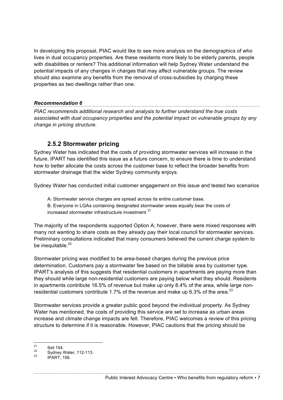In developing this proposal, PIAC would like to see more analysis on the demographics of who lives in dual occupancy properties. Are these residents more likely to be elderly parents, people with disabilities or renters? This additional information will help Sydney Water understand the potential impacts of any changes in charges that may affect vulnerable groups. The review should also examine any benefits from the removal of cross-subsidies by charging these properties as two dwellings rather than one.

#### *Recommendation 6*

*PIAC recommends additional research and analysis to further understand the true costs associated with dual occupancy properties and the potential impact on vulnerable groups by any change in pricing structure.* 

## **2.5.2 Stormwater pricing**

Sydney Water has indicated that the costs of providing stormwater services will increase in the future. IPART has identified this issue as a future concern, to ensure there is time to understand how to better allocate the costs across the customer base to reflect the broader benefits from stormwater drainage that the wider Sydney community enjoys.

Sydney Water has conducted initial customer engagement on this issue and tested two scenarios

A: Stormwater service charges are spread across its entire customer base.

B. Everyone in LGAs containing designated stormwater areas equally bear the costs of increased stormwater infrastructure investment <sup>21</sup>

The majority of the respondents supported Option A; however, there were mixed responses with many not wanting to share costs as they already pay their local council for stormwater services. Preliminary consultations indicated that many consumers believed the current charge system to be inequitable.<sup>22</sup>

Stormwater pricing was modified to be area-based charges during the previous price determination. Customers pay a stormwater fee based on the billable area by customer type. IPART's analysis of this suggests that residential customers in apartments are paying more than they should while large non-residential customers are paying below what they should. Residents in apartments contribute 16.5% of revenue but make up only 8.4% of the area, while large nonresidential customers contribute 1.7% of the revenue and make up 6.3% of the area.<sup>23</sup>

Stormwater services provide a greater public good beyond the individual property. As Sydney Water has mentioned, the costs of providing this service are set to increase as urban areas increase and climate change impacts are felt. Therefore, PIAC welcomes a review of this pricing structure to determine if it is reasonable. However, PIAC cautions that the pricing should be

Public Interest Advocacy Centre • Who benefits from regulatory reform • 7

<sup>&</sup>lt;sup>21</sup> Ibid 154.<br><sup>22</sup> Sydney Water, 112-113.<br><sup>23</sup> IPART, 156.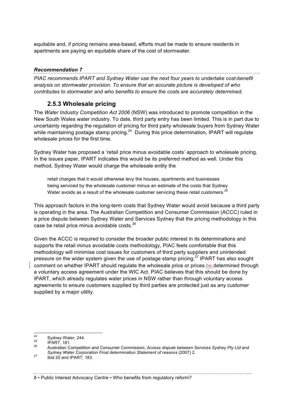equitable and, if pricing remains area-based, efforts must be made to ensure residents in apartments are paying an equitable share of the cost of stormwater.

### *Recommendation 7*

*PIAC recommends IPART and Sydney Water use the next four years to undertake cost-benefit analysis on stormwater provision. To ensure that an accurate picture is developed of who contributes to stormwater and who benefits to ensure the costs are accurately determined.* 

## **2.5.3 Wholesale pricing**

The *Water Industry Competition Act 2006* (NSW) was introduced to promote competition in the New South Wales water industry. To date, third party entry has been limited. This is in part due to uncertainty regarding the regulation of pricing for third party wholesale buyers from Sydney Water while maintaining postage stamp pricing.<sup>24</sup> During this price determination, IPART will regulate wholesale prices for the first time.

Sydney Water has proposed a 'retail price minus avoidable costs' approach to wholesale pricing. In the issues paper, IPART indicates this would be its preferred method as well. Under this method, Sydney Water would charge the wholesale entity the

retail charges that it would otherwise levy the houses, apartments and businesses being serviced by the wholesale customer minus an estimate of the costs that Sydney Water avoids as a result of the wholesale customer servicing these retail customers. $^{25}$ 

This approach factors in the long-term costs that Sydney Water would avoid because a third party is operating in the area. The Australian Competition and Consumer Commission (ACCC) ruled in a price dispute between Sydney Water and Services Sydney that the pricing methodology in this case be retail price minus avoidable costs.<sup>26</sup>

Given the ACCC is required to consider the broader public interest in its determinations and supports the retail minus avoidable costs methodology, PIAC feels comfortable that this methodology will minimise cost issues for customers of third party suppliers and unintended pressure on the wider system given the use of postage stamp pricing.<sup>27</sup> IPART has also sought comment on whether IPART should regulate the wholesale price or prices be determined through a voluntary access agreement under the WIC Act. PIAC believes that this should be done by IPART, which already regulates water prices in NSW rather than through voluntary access agreements to ensure customers supplied by third parties are protected just as any customer supplied by a major utility.

<sup>&</sup>lt;sup>24</sup> Sydney Water, 244.<br><sup>25</sup> IPART, 181.<br><sup>26</sup> Australian Competition and Consumer Commission. *Access dispute between Services Sydney Pty Ltd and Sydney Water Corporation Final determination Statement of reasons* (2007) 2. <sup>27</sup> Ibid 20 and IPART, 183.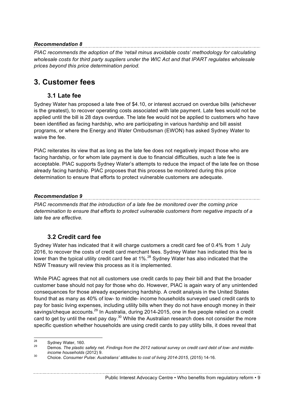### *Recommendation 8*

*PIAC recommends the adoption of the 'retail minus avoidable costs' methodology for calculating wholesale costs for third party suppliers under the WIC Act and that IPART regulates wholesale prices beyond this price determination period.* 

# **3. Customer fees**

## **3.1 Late fee**

Sydney Water has proposed a late free of \$4.10, or interest accrued on overdue bills (whichever is the greatest), to recover operating costs associated with late payment. Late fees would not be applied until the bill is 28 days overdue. The late fee would not be applied to customers who have been identified as facing hardship, who are participating in various hardship and bill assist programs, or where the Energy and Water Ombudsman (EWON) has asked Sydney Water to waive the fee.

PIAC reiterates its view that as long as the late fee does not negatively impact those who are facing hardship, or for whom late payment is due to financial difficulties, such a late fee is acceptable. PIAC supports Sydney Water's attempts to reduce the impact of the late fee on those already facing hardship. PIAC proposes that this process be monitored during this price determination to ensure that efforts to protect vulnerable customers are adequate.

### *Recommendation 9*

*PIAC recommends that the introduction of a late fee be monitored over the coming price determination to ensure that efforts to protect vulnerable customers from negative impacts of a late fee are effective.* 

# **3.2 Credit card fee**

Sydney Water has indicated that it will charge customers a credit card fee of 0.4% from 1 July 2016, to recover the costs of credit card merchant fees. Sydney Water has indicated this fee is lower than the typical utility credit card fee at 1%.<sup>28</sup> Sydney Water has also indicated that the NSW Treasury will review this process as it is implemented.

While PIAC agrees that not all customers use credit cards to pay their bill and that the broader customer base should not pay for those who do. However, PIAC is again wary of any unintended consequences for those already experiencing hardship. A credit analysis in the United States found that as many as 40% of low- to middle- income households surveyed used credit cards to pay for basic living expenses, including utility bills when they do not have enough money in their savings/cheque accounts.<sup>29</sup> In Australia, during 2014-2015, one in five people relied on a credit card to get by until the next pay day. $30$  While the Australian research does not consider the more specific question whether households are using credit cards to pay utility bills, it does reveal that

<sup>&</sup>lt;sup>28</sup> Sydney Water, 160.<br><sup>29</sup> Demos. *The plastic safety net. Findings from the 2012 national survey on credit card debt of low- and middle-<br><i>income households (2*012) 9.

*income households* (2012) 9. <sup>30</sup> Choice. *Consumer Pulse: Australians' attitudes to cost of living 2014-2015*, (2015) 14-16.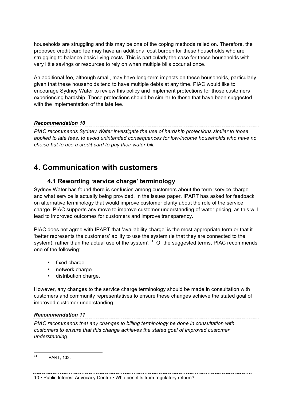households are struggling and this may be one of the coping methods relied on. Therefore, the proposed credit card fee may have an additional cost burden for these households who are struggling to balance basic living costs. This is particularly the case for those households with very little savings or resources to rely on when multiple bills occur at once.

An additional fee, although small, may have long-term impacts on these households, particularly given that these households tend to have multiple debts at any time. PIAC would like to encourage Sydney Water to review this policy and implement protections for those customers experiencing hardship. Those protections should be similar to those that have been suggested with the implementation of the late fee.

### *Recommendation 10*

*PIAC recommends Sydney Water investigate the use of hardship protections similar to those applied to late fees, to avoid unintended consequences for low-income households who have no choice but to use a credit card to pay their water bill.* 

# **4. Communication with customers**

## **4.1 Rewording 'service charge' terminology**

Sydney Water has found there is confusion among customers about the term 'service charge' and what service is actually being provided. In the issues paper, IPART has asked for feedback on alternative terminology that would improve customer clarity about the role of the service charge. PIAC supports any move to improve customer understanding of water pricing, as this will lead to improved outcomes for customers and improve transparency.

PIAC does not agree with IPART that 'availability charge' is the most appropriate term or that it 'better represents the customers' ability to use the system (ie that they are connected to the system), rather than the actual use of the system'.<sup>31</sup> Of the suggested terms, PIAC recommends one of the following:

- fixed charge
- network charge
- distribution charge.

However, any changes to the service charge terminology should be made in consultation with customers and community representatives to ensure these changes achieve the stated goal of improved customer understanding.

#### *Recommendation 11*

*PIAC recommends that any changes to billing terminology be done in consultation with customers to ensure that this change achieves the stated goal of improved customer understanding.* 

 <sup>31</sup> IPART, 133.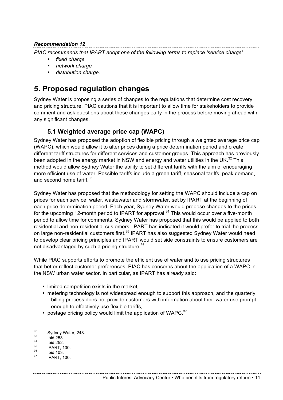### *Recommendation 12*

*PIAC recommends that IPART adopt one of the following terms to replace 'service charge'*

- *fixed charge*
- *network charge*
- *distribution charge.*

# **5. Proposed regulation changes**

Sydney Water is proposing a series of changes to the regulations that determine cost recovery and pricing structure. PIAC cautions that it is important to allow time for stakeholders to provide comment and ask questions about these changes early in the process before moving ahead with any significant changes.

## **5.1 Weighted average price cap (WAPC)**

Sydney Water has proposed the adoption of flexible pricing through a weighted average price cap (WAPC), which would allow it to alter prices during a price determination period and create different tariff structures for different services and customer groups. This approach has previously been adopted in the energy market in NSW and energy and water utilities in the UK. $^{32}$  This method would allow Sydney Water the ability to set different tariffs with the aim of encouraging more efficient use of water. Possible tariffs include a green tariff, seasonal tariffs, peak demand, and second home tariff.<sup>33</sup>

Sydney Water has proposed that the methodology for setting the WAPC should include a cap on prices for each service; water, wastewater and stormwater, set by IPART at the beginning of each price determination period. Each year, Sydney Water would propose changes to the prices for the upcoming 12-month period to IPART for approval.<sup>34</sup> This would occur over a five-month period to allow time for comments. Sydney Water has proposed that this would be applied to both residential and non-residential customers. IPART has indicated it would prefer to trial the process on large non-residential customers first.<sup>35</sup> IPART has also suggested Sydney Water would need to develop clear pricing principles and IPART would set side constraints to ensure customers are not disadvantaged by such a pricing structure. $36$ 

While PIAC supports efforts to promote the efficient use of water and to use pricing structures that better reflect customer preferences, PIAC has concerns about the application of a WAPC in the NSW urban water sector. In particular, as IPART has already said:

- limited competition exists in the market*,*
- metering technology is not widespread enough to support this approach, and the quarterly billing process does not provide customers with information about their water use prompt enough to effectively use flexible tariffs,
- postage pricing policy would limit the application of WAPC. $37$

 $\frac{32}{33}$  Sydney Water, 248.<br>  $\frac{33}{10}$  Ibid 253.<br>  $\frac{35}{36}$  IPART, 100.<br>  $\frac{36}{37}$  IPART, 100.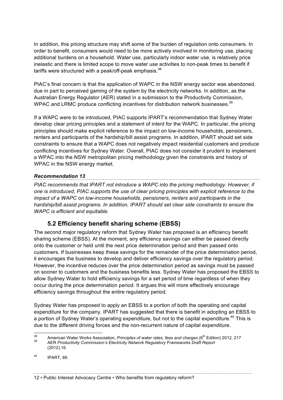In addition, this pricing structure may shift some of the burden of regulation onto consumers. In order to benefit, consumers would need to be more actively involved in monitoring use, placing additional burdens on a household. Water use, particularly indoor water use, is relatively price inelastic and there is limited scope to move water use activities to non-peak times to benefit if tariffs were structured with a peak/off-peak emphasis.<sup>38</sup>

PIAC's final concern is that the application of WAPC in the NSW energy sector was abandoned, due in part to perceived gaming of the system by the electricity networks. In addition, as the Australian Energy Regulator (AER) stated in a submission to the Productivity Commission, WPAC and LRMC produce conflicting incentives for distribution network businesses.<sup>39</sup>

If a WAPC were to be introduced, PIAC supports IPART's recommendation that Sydney Water develop clear pricing principles and a statement of intent for the WAPC. In particular, the pricing principles should make explicit reference to the impact on low-income households, pensioners, renters and participants of the hardship/bill assist programs. In addition, IPART should set side constraints to ensure that a WAPC does not negatively impact residential customers and produce conflicting incentives for Sydney Water. Overall, PIAC does not consider it prudent to implement a WPAC into the NSW metropolitan pricing methodology given the constraints and history of WPAC in the NSW energy market.

#### *Recommendation 13*

*PIAC recommends that IPART not introduce a WAPC into the pricing methodology. However, if one is introduced, PIAC supports the use of clear pricing principles with explicit reference to the impact of a WAPC on low-income households, pensioners, renters and participants in the hardship/bill assist programs. In addition, IPART should set clear side constraints to ensure the WAPC is efficient and equitable.* 

## **5.2 Efficiency benefit sharing scheme (EBSS)**

The second major regulatory reform that Sydney Water has proposed is an efficiency benefit sharing scheme (EBSS). At the moment, any efficiency savings can either be passed directly onto the customer or held until the next price determination period and then passed onto customers. If businesses keep these savings for the remainder of the price determination period, it encourages the business to develop and deliver efficiency savings over the regulatory period. However, the incentive reduces over the price determination period as savings must be passed on sooner to customers and the business benefits less. Sydney Water has proposed the EBSS to allow Sydney Water to hold efficiency savings for a set period of time regardless of when they occur during the price determination period. It argues this will more effectively encourage efficiency savings throughout the entire regulatory period.

Sydney Water has proposed to apply an EBSS to a portion of both the operating and capital expenditure for the company. IPART has suggested that there is benefit in adopting an EBSS to a portion of Sydney Water's operating expenditure, but not to the capital expenditure.<sup>40</sup> This is due to the different driving forces and the non-recurrent nature of capital expenditure.

<sup>&</sup>lt;sup>38</sup> American Water Works Association, *Principles of water rates, fees and charges* (6<sup>th</sup> Edition) 2012, 217<br><sup>39</sup> AER *Productivity Commission's Electricity Network Regulatory Frameworks Draft Report* 

<sup>(2012),16.</sup> 

<sup>40</sup> IPART, 89.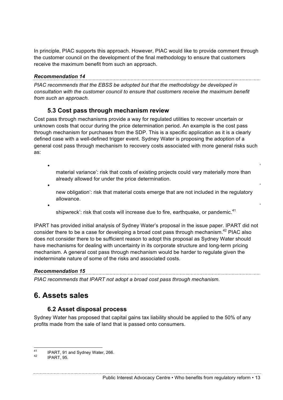In principle, PIAC supports this approach. However, PIAC would like to provide comment through the customer council on the development of the final methodology to ensure that customers receive the maximum benefit from such an approach.

### *Recommendation 14*

*PIAC recommends that the EBSS be adopted but that the methodology be developed in consultation with the customer council to ensure that customers receive the maximum benefit from such an approach.* 

## **5.3 Cost pass through mechanism review**

Cost pass through mechanisms provide a way for regulated utilities to recover uncertain or unknown costs that occur during the price determination period. An example is the cost pass through mechanism for purchases from the SDP. This is a specific application as it is a clearly defined case with a well-defined trigger event. Sydney Water is proposing the adoption of a general cost pass through mechanism to recovery costs associated with more general risks such as:

• ' material variance': risk that costs of existing projects could vary materially more than already allowed for under the price determination.

- ' new obligation': risk that material costs emerge that are not included in the regulatory allowance.
- ' shipwreck': risk that costs will increase due to fire, earthquake, or pandemic.<sup>41</sup>

IPART has provided initial analysis of Sydney Water's proposal in the issue paper. IPART did not consider there to be a case for developing a broad cost pass through mechanism.<sup>42</sup> PIAC also does not consider there to be sufficient reason to adopt this proposal as Sydney Water should have mechanisms for dealing with uncertainty in its corporate structure and long-term pricing mechanism. A general cost pass through mechanism would be harder to regulate given the indeterminate nature of some of the risks and associated costs.

### *Recommendation 15*

*PIAC recommends that IPART not adopt a broad cost pass through mechanism.*

# **6. Assets sales**

## **6.2 Asset disposal process**

Sydney Water has proposed that capital gains tax liability should be applied to the 50% of any profits made from the sale of land that is passed onto consumers.

Public Interest Advocacy Centre • Who benefits from regulatory reform • 13

<sup>&</sup>lt;sup>41</sup> IPART, 91 and Sydney Water, 266.<br> $\frac{42}{100}$  IPART, 95.